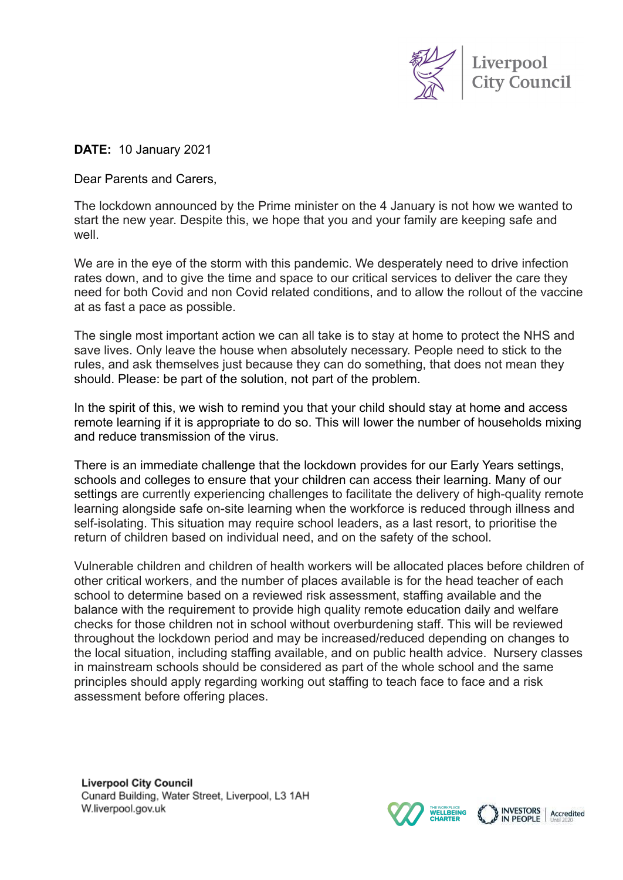

**INVESTORS** I

Accredited

THE WORKPLACE<br>**WELLBEING** 

**DATE:** 10 January 2021

Dear Parents and Carers,

The lockdown announced by the Prime minister on the 4 January is not how we wanted to start the new year. Despite this, we hope that you and your family are keeping safe and well.

We are in the eye of the storm with this pandemic. We desperately need to drive infection rates down, and to give the time and space to our critical services to deliver the care they need for both Covid and non Covid related conditions, and to allow the rollout of the vaccine at as fast a pace as possible.

The single most important action we can all take is to stay at home to protect the NHS and save lives. Only leave the house when absolutely necessary. People need to stick to the rules, and ask themselves just because they can do something, that does not mean they should. Please: be part of the solution, not part of the problem.

In the spirit of this, we wish to remind you that your child should stay at home and access remote learning if it is appropriate to do so. This will lower the number of households mixing and reduce transmission of the virus.

There is an immediate challenge that the lockdown provides for our Early Years settings, schools and colleges to ensure that your children can access their learning. Many of our settings are currently experiencing challenges to facilitate the delivery of high-quality remote learning alongside safe on-site learning when the workforce is reduced through illness and self-isolating. This situation may require school leaders, as a last resort, to prioritise the return of children based on individual need, and on the safety of the school.

Vulnerable children and children of health workers will be allocated places before children of other critical workers, and the number of places available is for the head teacher of each school to determine based on a reviewed risk assessment, staffing available and the balance with the requirement to provide high quality remote education daily and welfare checks for those children not in school without overburdening staff. This will be reviewed throughout the lockdown period and may be increased/reduced depending on changes to the local situation, including staffing available, and on public health advice. Nursery classes in mainstream schools should be considered as part of the whole school and the same principles should apply regarding working out staffing to teach face to face and a risk assessment before offering places.